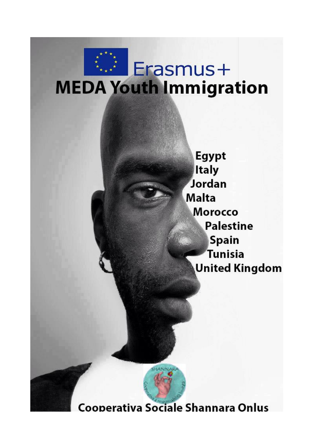# **Frasmus+ MEDA Youth Immigration**

**Egypt Italy** Jordan **Malta Morocco Palestine Spain** Tunisia **United Kingdom** 



Cooperativa Sociale Shannara Onlus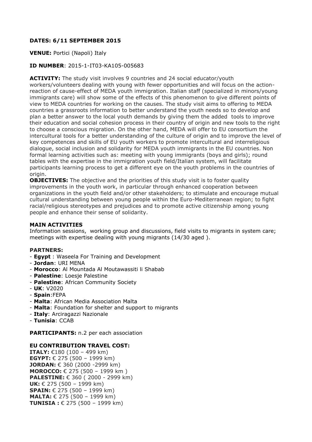#### **DATES: 6/11 SEPTEMBER 2015**

#### **VENUE:** Portici (Napoli) Italy

#### **ID NUMBER**: 2015-1-IT03-KA105-005683

**ACTIVITY:** The study visit involves 9 countries and 24 social educator/youth workers/volunteers dealing with young with fewer opportunities and will focus on the actionreaction of cause-effect of MEDA youth immigration. Italian staff (specialized in minors/young immigrants care) will show some of the effects of this phenomenon to give different points of view to MEDA countries for working on the causes. The study visit aims to offering to MEDA countries a grassroots information to better understand the youth needs so to develop and plan a better answer to the local youth demands by giving them the added tools to improve their education and social cohesion process in their country of origin and new tools to the right to choose a conscious migration. On the other hand, MEDA will offer to EU consortium the intercultural tools for a better understanding of the culture of origin and to improve the level of key competences and skills of EU youth workers to promote intercultural and interreligious dialogue, social inclusion and solidarity for MEDA youth immigrants in the EU countries. Non formal learning activities such as: meeting with young immigrants (boys and girls); round tables with the expertise in the immigration youth field/Italian system, will facilitate participants learning process to get a different eye on the youth problems in the countries of origin.

**OBJECTIVES:** The objective and the priorities of this study visit is to foster quality improvements in the youth work, in particular through enhanced cooperation between organizations in the youth field and/or other stakeholders; to stimulate and encourage mutual cultural understanding between young people within the Euro-Mediterranean region; to fight racial/religious stereotypes and prejudices and to promote active citizenship among young people and enhance their sense of solidarity.

#### **MAIN ACTIVITIES**

Information sessions, working group and discussions, field visits to migrants in system care; meetings with expertise dealing with young migrants (14/30 aged ).

#### **PARTNERS:**

- **Egypt** : Waseela For Training and Development
- **Jordan**: URI MENA
- **Morocco**: Al Mountada Al Moutawassiti li Shabab
- **Palestine**: Loesje Palestine
- **Palestine**: African Community Society
- **UK**: V2020
- **Spain**:FEPA
- **Malta**: African Media Association Malta
- **Malta**: Foundation for shelter and support to migrants
- **Italy**: Arciragazzi Nazionale
- **Tunisia**: CCAB

**PARTICIPANTS:** n.2 per each association

#### **EU CONTRIBUTION TRAVEL COST:**

**ITALY:** €180 (100 – 499 km) **EGYPT:** € 275 (500 – 1999 km) **JORDAN:** € 360 (2000 -2999 km) **MOROCCO:** € 275 (500 – 1999 km ) **PALESTINE:** € 360 (2000 - 2999 km) **UK:** € 275 (500 – 1999 km) **SPAIN:** € 275 (500 – 1999 km) **MALTA:** € 275 (500 – 1999 km) **TUNISIA :** € 275 (500 – 1999 km)